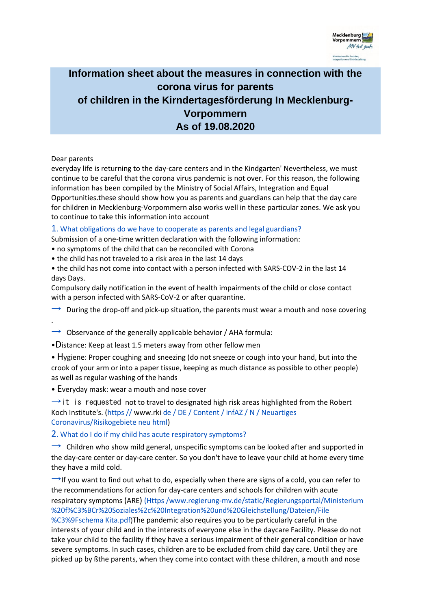

# **Information sheet about the measures in connection with the corona virus for parents of children in the Kirndertagesförderung In Mecklenburg-Vorpommern As of 19.08.2020**

## Dear parents

.

everyday life is returning to the day-care centers and in the Kindgarten' Nevertheless, we must continue to be careful that the corona virus pandemic is not over. For this reason, the following information has been compiled by the Ministry of Social Affairs, Integration and Equal Opportunities.these should show how you as parents and guardians can help that the day care for children in Mecklenburg-Vorpommern also works well in these particular zones. We ask you to continue to take this information into account

## 1. What obligations do we have to cooperate as parents and legal guardians?

Submission of a one-time written declaration with the following information:

• no symptoms of the child that can be reconciled with Corona

• the child has not traveled to a risk area in the last 14 days

• the child has not come into contact with a person infected with SARS-COV-2 in the last 14 days Days.

Compulsory daily notification in the event of health impairments of the child or close contact with a person infected with SARS-CoV-2 or after quarantine.

 $\rightarrow$  During the drop-off and pick-up situation, the parents must wear a mouth and nose covering

 $\rightarrow$  Observance of the generally applicable behavior / AHA formula:

•Distance: Keep at least 1.5 meters away from other fellow men

• Hygiene: Proper coughing and sneezing (do not sneeze or cough into your hand, but into the crook of your arm or into a paper tissue, keeping as much distance as possible to other people) as well as regular washing of the hands

• Everyday mask: wear a mouth and nose cover

 $\rightarrow$ it is requested not to travel to designated high risk areas highlighted from the Robert Koch Institute's. (https // www.rki de / DE / Content / infAZ / N / Neuartiges Coronavirus/Risikogebiete neu html)

2. What do I do if my child has acute respiratory symptoms?

 $\rightarrow$  Children who show mild general, unspecific symptoms can be looked after and supported in the day-care center or day-care center. So you don't have to leave your child at home every time they have a mild cold.

 $\rightarrow$ If you want to find out what to do, especially when there are signs of a cold, you can refer to the recommendations for action for day-care centers and schools for children with acute respiratory symptoms (ARE) (Https /www.regierung-mv.de/static/Regierungsportal/Ministerium %20f%C3%BCr%20Soziales%2c%20Integration%20und%20Gleichstellung/Dateien/File

%C3%9Fschema Kita.pdf)The pandemic also requires you to be particularly careful in the interests of your child and in the interests of everyone else in the daycare Facility. Please do not take your child to the facility if they have a serious impairment of their general condition or have severe symptoms. In such cases, children are to be excluded from child day care. Until they are picked up by ßthe parents, when they come into contact with these children, a mouth and nose